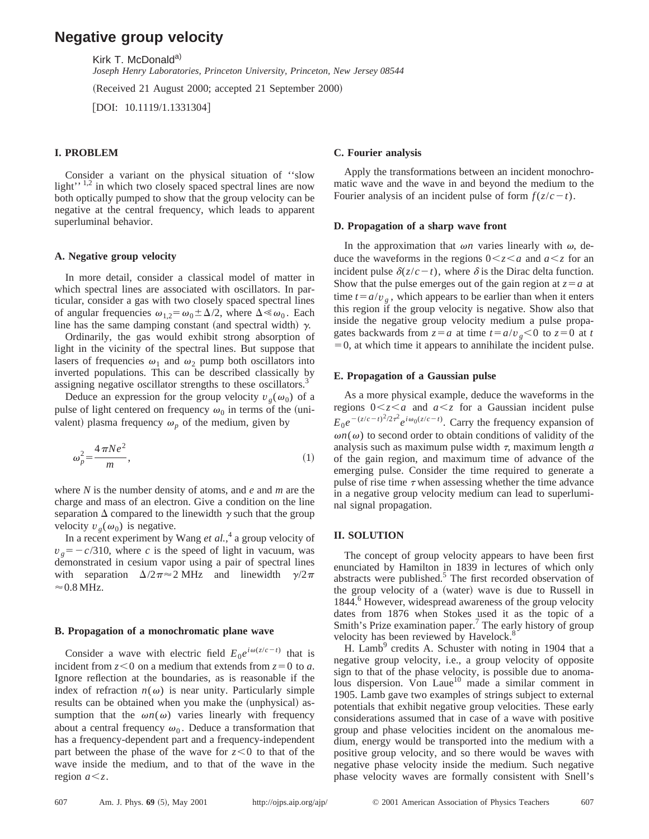# **Negative group velocity**

Kirk T. McDonald<sup>a)</sup>

*Joseph Henry Laboratories, Princeton University, Princeton, New Jersey 08544*

(Received 21 August 2000; accepted 21 September 2000)

 $[$ DOI: 10.1119/1.1331304 $]$ 

# **I. PROBLEM**

Consider a variant on the physical situation of ''slow light'<sup> $, 1, 2$ </sup> in which two closely spaced spectral lines are now both optically pumped to show that the group velocity can be negative at the central frequency, which leads to apparent superluminal behavior.

#### **A. Negative group velocity**

In more detail, consider a classical model of matter in which spectral lines are associated with oscillators. In particular, consider a gas with two closely spaced spectral lines of angular frequencies  $\omega_{1,2} = \omega_0 \pm \Delta/2$ , where  $\Delta \ll \omega_0$ . Each line has the same damping constant (and spectral width)  $\gamma$ .

Ordinarily, the gas would exhibit strong absorption of light in the vicinity of the spectral lines. But suppose that lasers of frequencies  $\omega_1$  and  $\omega_2$  pump both oscillators into inverted populations. This can be described classically by assigning negative oscillator strengths to these oscillators.<sup>3</sup>

Deduce an expression for the group velocity  $v_g(\omega_0)$  of a pulse of light centered on frequency  $\omega_0$  in terms of the (univalent) plasma frequency  $\omega_p$  of the medium, given by

$$
\omega_p^2 = \frac{4\,\pi Ne^2}{m},\tag{1}
$$

where *N* is the number density of atoms, and *e* and *m* are the charge and mass of an electron. Give a condition on the line separation  $\Delta$  compared to the linewidth  $\gamma$  such that the group velocity  $v_g(\omega_0)$  is negative.

In a recent experiment by Wang *et al.*, <sup>4</sup> a group velocity of  $v_g = -c/310$ , where *c* is the speed of light in vacuum, was demonstrated in cesium vapor using a pair of spectral lines with separation  $\Delta/2\pi \approx 2$  MHz and linewidth  $\gamma/2\pi$  $\approx 0.8$  MHz.

#### **B. Propagation of a monochromatic plane wave**

Consider a wave with electric field  $E_0e^{i\omega(z/c-t)}$  that is incident from  $z < 0$  on a medium that extends from  $z = 0$  to *a*. Ignore reflection at the boundaries, as is reasonable if the index of refraction  $n(\omega)$  is near unity. Particularly simple results can be obtained when you make the (unphysical) assumption that the  $\omega n(\omega)$  varies linearly with frequency about a central frequency  $\omega_0$ . Deduce a transformation that has a frequency-dependent part and a frequency-independent part between the phase of the wave for  $z < 0$  to that of the wave inside the medium, and to that of the wave in the region  $a \leq z$ .

#### **C. Fourier analysis**

Apply the transformations between an incident monochromatic wave and the wave in and beyond the medium to the Fourier analysis of an incident pulse of form  $f(z/c-t)$ .

#### **D. Propagation of a sharp wave front**

In the approximation that  $\omega n$  varies linearly with  $\omega$ , deduce the waveforms in the regions  $0 \lt z \lt a$  and  $a \lt z$  for an incident pulse  $\delta(z/c-t)$ , where  $\delta$  is the Dirac delta function. Show that the pulse emerges out of the gain region at  $z = a$  at time  $t = a/v<sub>g</sub>$ , which appears to be earlier than when it enters this region if the group velocity is negative. Show also that inside the negative group velocity medium a pulse propagates backwards from  $z = a$  at time  $t = a/v_g < 0$  to  $z = 0$  at *t*  $=0$ , at which time it appears to annihilate the incident pulse.

#### **E. Propagation of a Gaussian pulse**

As a more physical example, deduce the waveforms in the regions  $0 \lt z \lt a$  and  $a \lt z$  for a Gaussian incident pulse  $E_0 e^{-(z/c-t)^2/2\tau^2} e^{i\omega_0(z/c-t)}$ . Carry the frequency expansion of  $\omega n(\omega)$  to second order to obtain conditions of validity of the analysis such as maximum pulse width  $\tau$ , maximum length *a* of the gain region, and maximum time of advance of the emerging pulse. Consider the time required to generate a pulse of rise time  $\tau$  when assessing whether the time advance in a negative group velocity medium can lead to superluminal signal propagation.

#### **II. SOLUTION**

The concept of group velocity appears to have been first enunciated by Hamilton in 1839 in lectures of which only abstracts were published. $5$  The first recorded observation of the group velocity of a (water) wave is due to Russell in 1844.<sup>6</sup> However, widespread awareness of the group velocity dates from 1876 when Stokes used it as the topic of a Smith's Prize examination paper.<sup>7</sup> The early history of group velocity has been reviewed by Havelock.<sup>8</sup>

H. Lamb<sup>9</sup> credits A. Schuster with noting in 1904 that a negative group velocity, i.e., a group velocity of opposite sign to that of the phase velocity, is possible due to anomalous dispersion. Von Laue<sup>10</sup> made a similar comment in 1905. Lamb gave two examples of strings subject to external potentials that exhibit negative group velocities. These early considerations assumed that in case of a wave with positive group and phase velocities incident on the anomalous medium, energy would be transported into the medium with a positive group velocity, and so there would be waves with negative phase velocity inside the medium. Such negative phase velocity waves are formally consistent with Snell's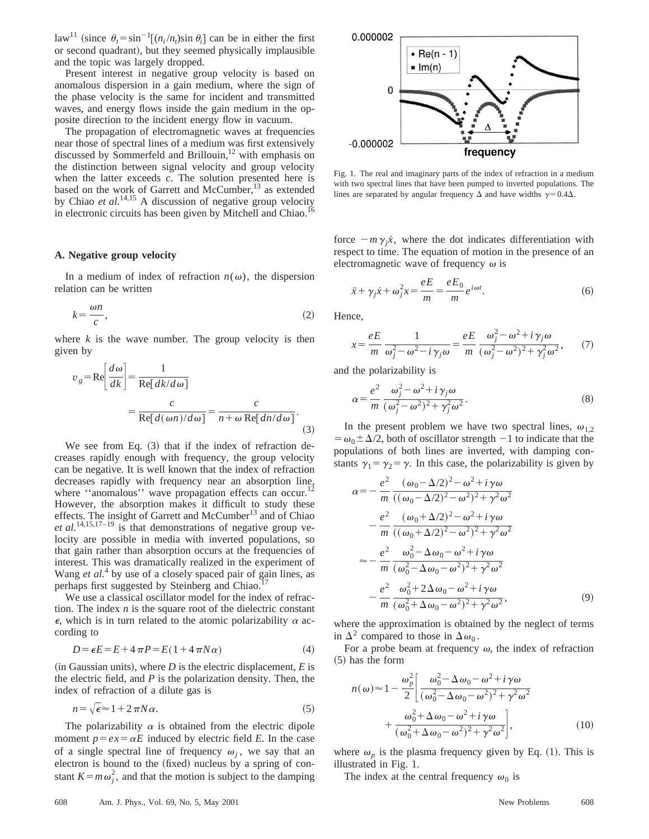$\int \text{d}u \, du$ <sup>11</sup> (since  $\theta_t = \sin^{-1}[(n_i/n_t)\sin \theta_i]$  can be in either the first or second quadrant), but they seemed physically implausible and the topic was largely dropped.

Present interest in negative group velocity is based on anomalous dispersion in a gain medium, where the sign of the phase velocity is the same for incident and transmitted waves, and energy flows inside the gain medium in the opposite direction to the incident energy flow in vacuum.

The propagation of electromagnetic waves at frequencies near those of spectral lines of a medium was first extensively discussed by Sommerfeld and Brillouin,<sup>12</sup> with emphasis on the distinction between signal velocity and group velocity when the latter exceeds *c*. The solution presented here is based on the work of Garrett and McCumber,<sup>13</sup> as extended by Chiao *et al.*<sup>14,15</sup> A discussion of negative group velocity in electronic circuits has been given by Mitchell and Chiao.

# **A. Negative group velocity**

In a medium of index of refraction  $n(\omega)$ , the dispersion relation can be written

$$
k = \frac{\omega n}{c},\tag{2}
$$

where  $k$  is the wave number. The group velocity is then given by

$$
v_g = \text{Re}\left[\frac{d\omega}{dk}\right] = \frac{1}{\text{Re}[dk/d\omega]}
$$

$$
= \frac{c}{\text{Re}[d(\omega n)/d\omega]} = \frac{c}{n+\omega \text{ Re}[dn/d\omega]}.
$$
(3)

We see from Eq.  $(3)$  that if the index of refraction decreases rapidly enough with frequency, the group velocity can be negative. It is well known that the index of refraction decreases rapidly with frequency near an absorption line, where "anomalous" wave propagation effects can occur.<sup>12</sup> However, the absorption makes it difficult to study these effects. The insight of Garrett and McCumber<sup>13</sup> and of Chiao *et al.*14,15,17–19 is that demonstrations of negative group velocity are possible in media with inverted populations, so that gain rather than absorption occurs at the frequencies of interest. This was dramatically realized in the experiment of Wang *et al.*<sup>4</sup> by use of a closely spaced pair of gain lines, as perhaps first suggested by Steinberg and Chiao.<sup>17</sup>

We use a classical oscillator model for the index of refraction. The index *n* is the square root of the dielectric constant  $\epsilon$ , which is in turn related to the atomic polarizability  $\alpha$  according to

$$
D = \epsilon E = E + 4\pi P = E(1 + 4\pi N\alpha)
$$
\n<sup>(4)</sup>

 $(i$ n Gaussian units), where *D* is the electric displacement, *E* is the electric field, and *P* is the polarization density. Then, the index of refraction of a dilute gas is

$$
n = \sqrt{\epsilon} \approx 1 + 2\pi N \alpha. \tag{5}
$$

The polarizability  $\alpha$  is obtained from the electric dipole moment  $p = e^x = \alpha E$  induced by electric field *E*. In the case of a single spectral line of frequency  $\omega_i$ , we say that an electron is bound to the (fixed) nucleus by a spring of constant  $K = m \omega_j^2$ , and that the motion is subject to the damping



Fig. 1. The real and imaginary parts of the index of refraction in a medium with two spectral lines that have been pumped to inverted populations. The lines are separated by angular frequency  $\Delta$  and have widths  $\gamma=0.4\Delta$ .

force  $-m\gamma_i\dot{x}$ , where the dot indicates differentiation with respect to time. The equation of motion in the presence of an electromagnetic wave of frequency  $\omega$  is

$$
\ddot{x} + \gamma_j \dot{x} + \omega_j^2 x = \frac{eE}{m} = \frac{eE_0}{m} e^{i\omega t}.
$$
 (6)

Hence,

$$
x = \frac{eE}{m} \frac{1}{\omega_j^2 - \omega^2 - i\gamma_j \omega} = \frac{eE}{m} \frac{\omega_j^2 - \omega^2 + i\gamma_j \omega}{(\omega_j^2 - \omega^2)^2 + \gamma_j^2 \omega^2},\qquad(7)
$$

and the polarizability is

$$
\alpha = \frac{e^2}{m} \frac{\omega_j^2 - \omega^2 + i\gamma_j \omega}{(\omega_j^2 - \omega^2)^2 + \gamma_j^2 \omega^2}.
$$
 (8)

In the present problem we have two spectral lines,  $\omega_{1,2}$  $= \omega_0 \pm \Delta/2$ , both of oscillator strength  $-1$  to indicate that the populations of both lines are inverted, with damping constants  $\gamma_1 = \gamma_2 = \gamma$ . In this case, the polarizability is given by

$$
\alpha = -\frac{e^2}{m} \frac{(\omega_0 - \Delta/2)^2 - \omega^2 + i\gamma\omega}{((\omega_0 - \Delta/2)^2 - \omega^2)^2 + \gamma^2\omega^2} \n- \frac{e^2}{m} \frac{(\omega_0 + \Delta/2)^2 - \omega^2 + i\gamma\omega}{((\omega_0 + \Delta/2)^2 - \omega^2)^2 + \gamma^2\omega^2} \n\approx -\frac{e^2}{m} \frac{\omega_0^2 - \Delta\omega_0 - \omega^2 + i\gamma\omega}{(\omega_0^2 - \Delta\omega_0 - \omega^2)^2 + \gamma^2\omega^2} \n- \frac{e^2}{m} \frac{\omega_0^2 + 2\Delta\omega_0 - \omega^2 + i\gamma\omega}{(\omega_0^2 + \Delta\omega_0 - \omega^2)^2 + \gamma^2\omega^2},
$$
\n(9)

where the approximation is obtained by the neglect of terms in  $\Delta^2$  compared to those in  $\Delta \omega_0$ .

For a probe beam at frequency  $\omega$ , the index of refraction  $(5)$  has the form

$$
n(\omega) \approx 1 - \frac{\omega_p^2}{2} \left[ \frac{\omega_0^2 - \Delta \omega_0 - \omega^2 + i \gamma \omega}{(\omega_0^2 - \Delta \omega_0 - \omega^2)^2 + \gamma^2 \omega^2} + \frac{\omega_0^2 + \Delta \omega_0 - \omega^2 + i \gamma \omega}{(\omega_0^2 + \Delta \omega_0 - \omega^2)^2 + \gamma^2 \omega^2} \right],
$$
 (10)

where  $\omega_p$  is the plasma frequency given by Eq. (1). This is illustrated in Fig. 1.

The index at the central frequency  $\omega_0$  is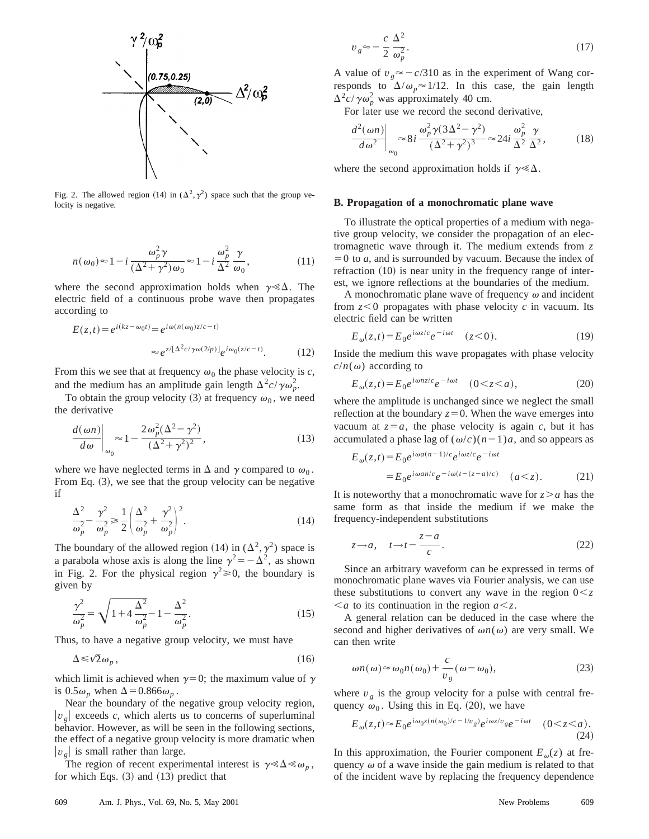

Fig. 2. The allowed region (14) in  $(\Delta^2, \gamma^2)$  space such that the group velocity is negative.

$$
n(\omega_0) \approx 1 - i \frac{\omega_p^2 \gamma}{(\Delta^2 + \gamma^2)\omega_0} \approx 1 - i \frac{\omega_p^2}{\Delta^2} \frac{\gamma}{\omega_0},
$$
 (11)

where the second approximation holds when  $\gamma \ll \Delta$ . The electric field of a continuous probe wave then propagates according to

$$
E(z,t) = e^{i(kz - \omega_0 t)} = e^{i\omega(n(\omega_0)z/c - t)}
$$

$$
\approx e^{z/\left[\Delta^2 c/\gamma \omega(2/p)\right]} e^{i\omega_0(z/c - t)}.
$$
(12)

From this we see that at frequency  $\omega_0$  the phase velocity is *c*, and the medium has an amplitude gain length  $\Delta^2 c / \gamma \omega_p^2$ .

To obtain the group velocity (3) at frequency  $\omega_0$ , we need the derivative

$$
\left. \frac{d(\omega n)}{d\omega} \right|_{\omega_0} \approx 1 - \frac{2\omega_p^2 (\Delta^2 - \gamma^2)}{(\Delta^2 + \gamma^2)^2},\tag{13}
$$

where we have neglected terms in  $\Delta$  and  $\gamma$  compared to  $\omega_0$ . From Eq.  $(3)$ , we see that the group velocity can be negative if

$$
\frac{\Delta^2}{\omega_p^2} - \frac{\gamma^2}{\omega_p^2} \ge \frac{1}{2} \left( \frac{\Delta^2}{\omega_p^2} + \frac{\gamma^2}{\omega_p^2} \right)^2.
$$
 (14)

The boundary of the allowed region (14) in  $(\Delta^2, \gamma^2)$  space is a parabola whose axis is along the line  $\gamma^2 = -\Delta^2$ , as shown in Fig. 2. For the physical region  $\gamma^2 \ge 0$ , the boundary is given by

$$
\frac{\gamma^2}{\omega_p^2} = \sqrt{1 + 4\frac{\Delta^2}{\omega_p^2} - 1 - \frac{\Delta^2}{\omega_p^2}}.
$$
\n(15)

Thus, to have a negative group velocity, we must have

$$
\Delta \leq \sqrt{2}\,\omega_p\,,\tag{16}
$$

which limit is achieved when  $\gamma=0$ ; the maximum value of  $\gamma$ is  $0.5\omega_p$  when  $\Delta = 0.866\omega_p$ .

Near the boundary of the negative group velocity region,  $|v_{g}|$  exceeds *c*, which alerts us to concerns of superluminal behavior. However, as will be seen in the following sections, the effect of a negative group velocity is more dramatic when  $|v_{g}|$  is small rather than large.

The region of recent experimental interest is  $\gamma \ll \Delta \ll \omega_p$ , for which Eqs.  $(3)$  and  $(13)$  predict that

$$
v_g \approx -\frac{c}{2} \frac{\Delta^2}{\omega_p^2}.
$$
\n(17)

A value of  $v_g \approx -c/310$  as in the experiment of Wang corresponds to  $\Delta/\omega_p \approx 1/12$ . In this case, the gain length  $\Delta^2 c / \gamma \omega_p^2$  was approximately 40 cm.

For later use we record the second derivative,

$$
\left. \frac{d^2(\omega n)}{d\omega^2} \right|_{\omega_0} \approx 8i \, \frac{\omega_p^2 \gamma (3\Delta^2 - \gamma^2)}{(\Delta^2 + \gamma^2)^3} \approx 24i \, \frac{\omega_p^2}{\Delta^2} \frac{\gamma}{\Delta^2},\tag{18}
$$

where the second approximation holds if  $\gamma \ll \Delta$ .

### **B. Propagation of a monochromatic plane wave**

To illustrate the optical properties of a medium with negative group velocity, we consider the propagation of an electromagnetic wave through it. The medium extends from *z*  $=0$  to *a*, and is surrounded by vacuum. Because the index of refraction  $(10)$  is near unity in the frequency range of interest, we ignore reflections at the boundaries of the medium.

A monochromatic plane wave of frequency  $\omega$  and incident from  $z < 0$  propagates with phase velocity  $c$  in vacuum. Its electric field can be written

$$
E_{\omega}(z,t) = E_0 e^{i\omega z/c} e^{-i\omega t} \quad (z < 0). \tag{19}
$$

Inside the medium this wave propagates with phase velocity  $c/n(\omega)$  according to

$$
E_{\omega}(z,t) = E_0 e^{i\omega n z/c} e^{-i\omega t} \quad (0 < z < a), \tag{20}
$$

where the amplitude is unchanged since we neglect the small reflection at the boundary  $z=0$ . When the wave emerges into vacuum at  $z = a$ , the phase velocity is again *c*, but it has accumulated a phase lag of  $(\omega/c)(n-1)a$ , and so appears as

$$
E_{\omega}(z,t) = E_0 e^{i\omega a(n-1)/c} e^{i\omega z/c} e^{-i\omega t}
$$
  
= 
$$
E_0 e^{i\omega a n/c} e^{-i\omega (t-(z-a)/c)} \quad (a < z).
$$
 (21)

It is noteworthy that a monochromatic wave for  $z > a$  has the same form as that inside the medium if we make the frequency-independent substitutions

$$
z \to a, \quad t \to t - \frac{z - a}{c}.\tag{22}
$$

Since an arbitrary waveform can be expressed in terms of monochromatic plane waves via Fourier analysis, we can use these substitutions to convert any wave in the region  $0 \leq z$  $\leq a$  to its continuation in the region  $a \leq z$ .

A general relation can be deduced in the case where the second and higher derivatives of  $\omega n(\omega)$  are very small. We can then write

$$
\omega n(\omega) \approx \omega_0 n(\omega_0) + \frac{c}{v_g}(\omega - \omega_0),\tag{23}
$$

where  $v_g$  is the group velocity for a pulse with central frequency  $\omega_0$ . Using this in Eq. (20), we have

$$
E_{\omega}(z,t) \approx E_0 e^{i\omega_0 z (n(\omega_0)/c - 1/v_g)} e^{i\omega z/v_g} e^{-i\omega t} \quad (0 < z < a). \tag{24}
$$

In this approximation, the Fourier component  $E_{\omega}(z)$  at frequency  $\omega$  of a wave inside the gain medium is related to that of the incident wave by replacing the frequency dependence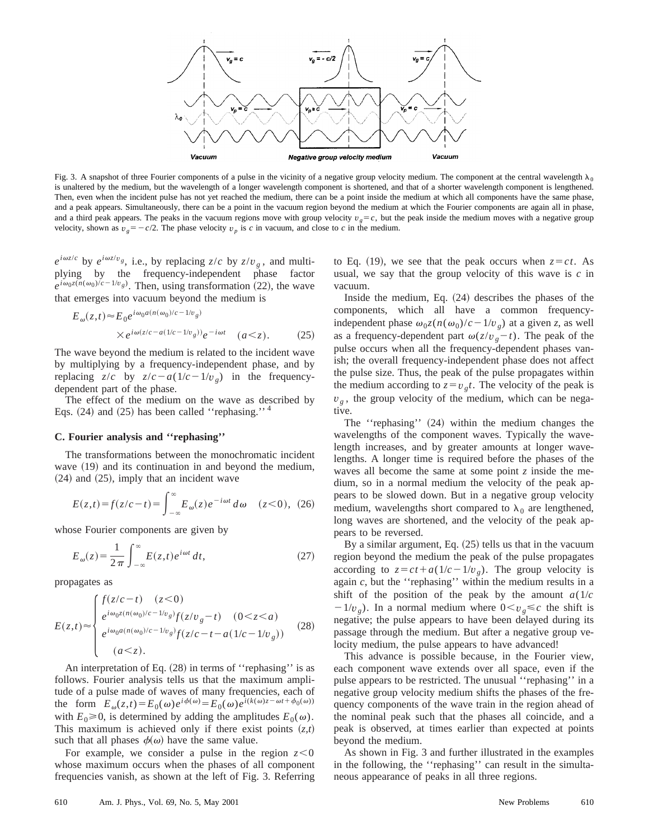

Fig. 3. A snapshot of three Fourier components of a pulse in the vicinity of a negative group velocity medium. The component at the central wavelength  $\lambda_0$ is unaltered by the medium, but the wavelength of a longer wavelength component is shortened, and that of a shorter wavelength component is lengthened. Then, even when the incident pulse has not yet reached the medium, there can be a point inside the medium at which all components have the same phase, and a peak appears. Simultaneously, there can be a point in the vacuum region beyond the medium at which the Fourier components are again all in phase, and a third peak appears. The peaks in the vacuum regions move with group velocity  $v_g = c$ , but the peak inside the medium moves with a negative group velocity, shown as  $v_g = -c/2$ . The phase velocity  $v_p$  is *c* in vacuum, and close to *c* in the medium.

 $e^{i\omega z/c}$  by  $e^{i\omega z/v}$ *g*, i.e., by replacing *z*/*c* by *z*/*v<sub>g</sub>*, and multiplying by the frequency-independent phase factor  $e^{i\omega_0 z(n(\omega_0)/c-1/v_g)}$ . Then, using transformation (22), the wave that emerges into vacuum beyond the medium is

$$
E_{\omega}(z,t) \approx E_0 e^{i\omega_0 a(n(\omega_0)/c - 1/v_g)}
$$
  
 
$$
\times e^{i\omega(z/c - a(1/c - 1/v_g))} e^{-i\omega t} \quad (a < z).
$$
 (25)

The wave beyond the medium is related to the incident wave by multiplying by a frequency-independent phase, and by replacing  $z/c$  by  $z/c-a(1/c-1/v_e)$  in the frequencydependent part of the phase.

The effect of the medium on the wave as described by Eqs.  $(24)$  and  $(25)$  has been called "rephasing."<sup>4</sup>

# **C. Fourier analysis and ''rephasing''**

The transformations between the monochromatic incident wave  $(19)$  and its continuation in and beyond the medium,  $(24)$  and  $(25)$ , imply that an incident wave

$$
E(z,t) = f(z/c - t) = \int_{-\infty}^{\infty} E_{\omega}(z) e^{-i\omega t} d\omega \quad (z < 0), \tag{26}
$$

whose Fourier components are given by

$$
E_{\omega}(z) = \frac{1}{2\pi} \int_{-\infty}^{\infty} E(z,t) e^{i\omega t} dt,
$$
 (27)

propagates as

$$
E(z,t) \approx \begin{cases} f(z/c-t) & (z<0) \\ e^{i\omega_0 z(n(\omega_0)/c-1/v_g)} f(z/v_g-t) & (0
$$

An interpretation of Eq.  $(28)$  in terms of "rephasing" is as follows. Fourier analysis tells us that the maximum amplitude of a pulse made of waves of many frequencies, each of the form  $E_{\omega}(z,t) = E_0(\omega)e^{i\phi(\omega)} = E_0(\omega)e^{i(k(\omega)z - \omega t + \phi_0(\omega))}$ with  $E_0 \ge 0$ , is determined by adding the amplitudes  $E_0(\omega)$ . This maximum is achieved only if there exist points  $(z,t)$ such that all phases  $\phi(\omega)$  have the same value.

For example, we consider a pulse in the region  $z < 0$ whose maximum occurs when the phases of all component frequencies vanish, as shown at the left of Fig. 3. Referring to Eq. (19), we see that the peak occurs when  $z = ct$ . As usual, we say that the group velocity of this wave is *c* in vacuum.

Inside the medium, Eq.  $(24)$  describes the phases of the components, which all have a common frequencyindependent phase  $\omega_0 z(n(\omega_0)/c - 1/v_g)$  at a given *z*, as well as a frequency-dependent part  $\omega(z/v_g-t)$ . The peak of the pulse occurs when all the frequency-dependent phases vanish; the overall frequency-independent phase does not affect the pulse size. Thus, the peak of the pulse propagates within the medium according to  $z = v_g t$ . The velocity of the peak is  $v<sub>g</sub>$ , the group velocity of the medium, which can be negative.

The "rephasing"  $(24)$  within the medium changes the wavelengths of the component waves. Typically the wavelength increases, and by greater amounts at longer wavelengths. A longer time is required before the phases of the waves all become the same at some point *z* inside the medium, so in a normal medium the velocity of the peak appears to be slowed down. But in a negative group velocity medium, wavelengths short compared to  $\lambda_0$  are lengthened, long waves are shortened, and the velocity of the peak appears to be reversed.

By a similar argument, Eq.  $(25)$  tells us that in the vacuum region beyond the medium the peak of the pulse propagates according to  $z = ct + a(1/c - 1/v_g)$ . The group velocity is again *c*, but the ''rephasing'' within the medium results in a shift of the position of the peak by the amount  $a(1/c)$  $-1/v<sub>g</sub>$ ). In a normal medium where  $0 < v<sub>g</sub> \leq c$  the shift is negative; the pulse appears to have been delayed during its passage through the medium. But after a negative group velocity medium, the pulse appears to have advanced!

This advance is possible because, in the Fourier view, each component wave extends over all space, even if the pulse appears to be restricted. The unusual ''rephasing'' in a negative group velocity medium shifts the phases of the frequency components of the wave train in the region ahead of the nominal peak such that the phases all coincide, and a peak is observed, at times earlier than expected at points beyond the medium.

As shown in Fig. 3 and further illustrated in the examples in the following, the ''rephasing'' can result in the simultaneous appearance of peaks in all three regions.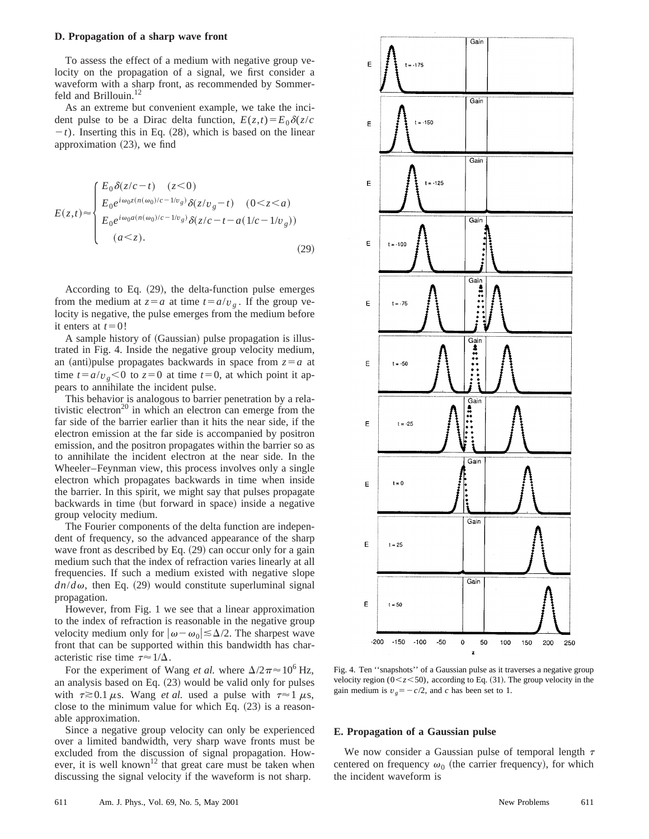#### **D. Propagation of a sharp wave front**

To assess the effect of a medium with negative group velocity on the propagation of a signal, we first consider a waveform with a sharp front, as recommended by Sommerfeld and Brillouin.<sup>12</sup>

As an extreme but convenient example, we take the incident pulse to be a Dirac delta function,  $E(z,t) = E_0 \delta(z/c)$  $-t$ ). Inserting this in Eq.  $(28)$ , which is based on the linear approximation  $(23)$ , we find

$$
E(z,t) \approx \begin{cases} E_0 \delta(z/c-t) & (z<0) \\ E_0 e^{i\omega_0 z(n(\omega_0)/c-1/v_g)} \delta(z/v_g-t) & (0
$$

According to Eq.  $(29)$ , the delta-function pulse emerges from the medium at  $z = a$  at time  $t = a/v<sub>g</sub>$ . If the group velocity is negative, the pulse emerges from the medium before it enters at  $t=0$ !

A sample history of (Gaussian) pulse propagation is illustrated in Fig. 4. Inside the negative group velocity medium, an (anti)pulse propagates backwards in space from  $z = a$  at time  $t = a/v_g < 0$  to  $z = 0$  at time  $t = 0$ , at which point it appears to annihilate the incident pulse.

This behavior is analogous to barrier penetration by a relativistic electron<sup>20</sup> in which an electron can emerge from the far side of the barrier earlier than it hits the near side, if the electron emission at the far side is accompanied by positron emission, and the positron propagates within the barrier so as to annihilate the incident electron at the near side. In the Wheeler–Feynman view, this process involves only a single electron which propagates backwards in time when inside the barrier. In this spirit, we might say that pulses propagate backwards in time (but forward in space) inside a negative group velocity medium.

The Fourier components of the delta function are independent of frequency, so the advanced appearance of the sharp wave front as described by Eq.  $(29)$  can occur only for a gain medium such that the index of refraction varies linearly at all frequencies. If such a medium existed with negative slope  $dn/d\omega$ , then Eq. (29) would constitute superluminal signal propagation.

However, from Fig. 1 we see that a linear approximation to the index of refraction is reasonable in the negative group velocity medium only for  $|\omega-\omega_0|\leq \Delta/2$ . The sharpest wave front that can be supported within this bandwidth has characteristic rise time  $\tau \approx 1/\Delta$ .

For the experiment of Wang *et al.* where  $\Delta/2\pi \approx 10^6$  Hz, an analysis based on Eq.  $(23)$  would be valid only for pulses with  $\tau \geq 0.1 \mu s$ . Wang *et al.* used a pulse with  $\tau \approx 1 \mu s$ , close to the minimum value for which Eq.  $(23)$  is a reasonable approximation.

Since a negative group velocity can only be experienced over a limited bandwidth, very sharp wave fronts must be excluded from the discussion of signal propagation. However, it is well known<sup>12</sup> that great care must be taken when discussing the signal velocity if the waveform is not sharp.



Fig. 4. Ten ''snapshots'' of a Gaussian pulse as it traverses a negative group velocity region ( $0 \le z \le 50$ ), according to Eq. (31). The group velocity in the gain medium is  $v_g = -c/2$ , and *c* has been set to 1.

#### **E. Propagation of a Gaussian pulse**

We now consider a Gaussian pulse of temporal length  $\tau$ centered on frequency  $\omega_0$  (the carrier frequency), for which the incident waveform is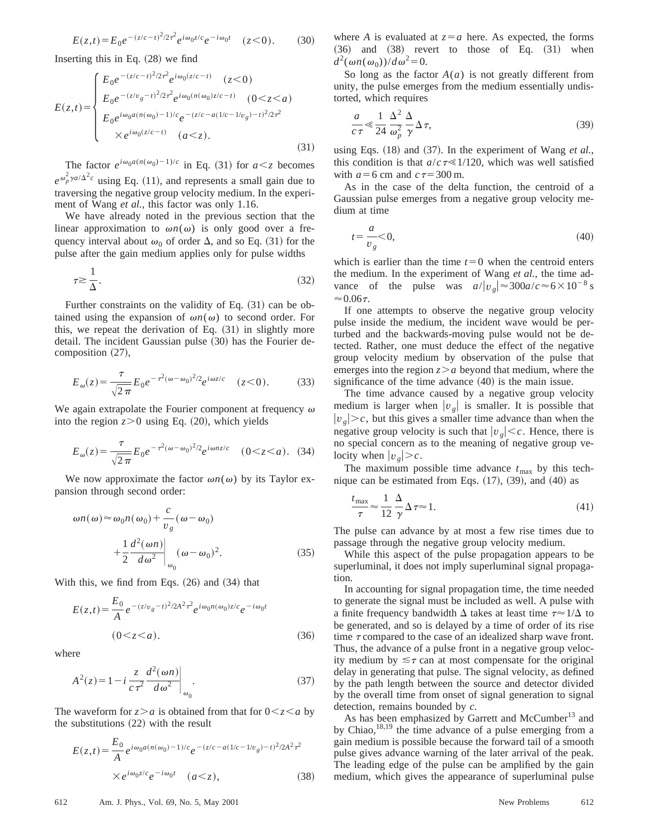$$
E(z,t) = E_0 e^{-(z/c-t)^2/2\tau^2} e^{i\omega_0 z/c} e^{-i\omega_0 t} \quad (z < 0). \tag{30}
$$

Inserting this in Eq.  $(28)$  we find

$$
E(z,t) = \begin{cases} E_0 e^{-(z/c-t)^2/2\tau^2} e^{i\omega_0(z/c-t)} & (z < 0) \\ E_0 e^{-(z/v_g-t)^2/2\tau^2} e^{i\omega_0(n(\omega_0)z/c-t)} & (0 < z < a) \\ E_0 e^{i\omega_0 a(n(\omega_0) - 1)/c} e^{-(z/c - a(1/c - 1/v_g) - t)^2/2\tau^2} \\ & \times e^{i\omega_0(z/c - t)} & (a < z). \end{cases} \tag{31}
$$

The factor  $e^{i\omega_0 a(n(\omega_0)-1)/c}$  in Eq. (31) for  $a \leq z$  becomes  $e^{\omega_p^2 \gamma a/\Delta^2 c}$  using Eq. (11), and represents a small gain due to traversing the negative group velocity medium. In the experiment of Wang *et al.*, this factor was only 1.16.

We have already noted in the previous section that the linear approximation to  $\omega n(\omega)$  is only good over a frequency interval about  $\omega_0$  of order  $\Delta$ , and so Eq. (31) for the pulse after the gain medium applies only for pulse widths

$$
\tau \gtrsim \frac{1}{\Delta}.\tag{32}
$$

Further constraints on the validity of Eq.  $(31)$  can be obtained using the expansion of  $\omega n(\omega)$  to second order. For this, we repeat the derivation of Eq.  $(31)$  in slightly more detail. The incident Gaussian pulse  $(30)$  has the Fourier decomposition  $(27)$ ,

$$
E_{\omega}(z) = \frac{\tau}{\sqrt{2\pi}} E_0 e^{-\tau^2 (\omega - \omega_0)^2/2} e^{i\omega z/c} \quad (z < 0). \tag{33}
$$

We again extrapolate the Fourier component at frequency  $\omega$ into the region  $z>0$  using Eq.  $(20)$ , which yields

$$
E_{\omega}(z) = \frac{\tau}{\sqrt{2\pi}} E_0 e^{-\tau^2 (\omega - \omega_0)^2/2} e^{i\omega n z/c} \quad (0 < z < a). \tag{34}
$$

We now approximate the factor  $\omega n(\omega)$  by its Taylor expansion through second order:

$$
\omega n(\omega) \approx \omega_0 n(\omega_0) + \frac{c}{v_g} (\omega - \omega_0)
$$
  
+ 
$$
\frac{1}{2} \frac{d^2(\omega n)}{d\omega^2} \bigg|_{\omega_0} (\omega - \omega_0)^2.
$$
 (35)

With this, we find from Eqs.  $(26)$  and  $(34)$  that

$$
E(z,t) = \frac{E_0}{A} e^{-(z/v_g - t)^2 / 2A^2 \tau^2} e^{i\omega_0 n(\omega_0) z/c} e^{-i\omega_0 t}
$$
  
(0 < z < a). (36)

where

$$
A^{2}(z) = 1 - i \left. \frac{z}{c \tau^{2}} \frac{d^{2}(\omega n)}{d \omega^{2}} \right|_{\omega_{0}}.
$$
 (37)

The waveform for  $z > a$  is obtained from that for  $0 < z < a$  by the substitutions  $(22)$  with the result

$$
E(z,t) = \frac{E_0}{A} e^{i\omega_0 a (n(\omega_0) - 1)/c} e^{-(z/c - a(1/c - 1/v_g) - t)^2 / 2A^2 \tau^2}
$$
  
×  $e^{i\omega_0 z/c} e^{-i\omega_0 t}$   $(a < z)$ , (38)

where *A* is evaluated at  $z = a$  here. As expected, the forms  $(36)$  and  $(38)$  revert to those of Eq.  $(31)$  when  $d^2(\omega n(\omega_0))/d\omega^2=0.$ 

So long as the factor  $A(a)$  is not greatly different from unity, the pulse emerges from the medium essentially undistorted, which requires

$$
\frac{a}{c\,\tau} \ll \frac{1}{24} \frac{\Delta^2}{\omega_p^2} \frac{\Delta}{\gamma} \Delta \,\tau,\tag{39}
$$

using Eqs.  $(18)$  and  $(37)$ . In the experiment of Wang *et al.*, this condition is that  $a/c \tau \ll 1/120$ , which was well satisfied with  $a=6$  cm and  $c\tau=300$  m.

As in the case of the delta function, the centroid of a Gaussian pulse emerges from a negative group velocity medium at time

$$
t = \frac{a}{v_g} < 0,\tag{40}
$$

which is earlier than the time  $t=0$  when the centroid enters the medium. In the experiment of Wang *et al.*, the time advance of the pulse was  $a/|v_g| \approx 300a/c \approx 6 \times 10^{-8}$  s  $\approx 0.06\tau$ .

If one attempts to observe the negative group velocity pulse inside the medium, the incident wave would be perturbed and the backwards-moving pulse would not be detected. Rather, one must deduce the effect of the negative group velocity medium by observation of the pulse that emerges into the region  $z > a$  beyond that medium, where the significance of the time advance  $(40)$  is the main issue.

The time advance caused by a negative group velocity medium is larger when  $|v_g|$  is smaller. It is possible that  $|v_{g}| > c$ , but this gives a smaller time advance than when the negative group velocity is such that  $|v_g| < c$ . Hence, there is no special concern as to the meaning of negative group velocity when  $|v_{\varrho}| > c$ .

The maximum possible time advance  $t_{\text{max}}$  by this technique can be estimated from Eqs.  $(17)$ ,  $(39)$ , and  $(40)$  as

$$
\frac{t_{\text{max}}}{\tau} \approx \frac{1}{12} \frac{\Delta}{\gamma} \Delta \tau \approx 1. \tag{41}
$$

The pulse can advance by at most a few rise times due to passage through the negative group velocity medium.

While this aspect of the pulse propagation appears to be superluminal, it does not imply superluminal signal propagation.

In accounting for signal propagation time, the time needed to generate the signal must be included as well. A pulse with a finite frequency bandwidth  $\Delta$  takes at least time  $\tau \approx 1/\Delta$  to be generated, and so is delayed by a time of order of its rise time  $\tau$  compared to the case of an idealized sharp wave front. Thus, the advance of a pulse front in a negative group velocity medium by  $\leq \tau$  can at most compensate for the original delay in generating that pulse. The signal velocity, as defined by the path length between the source and detector divided by the overall time from onset of signal generation to signal detection, remains bounded by *c*.

As has been emphasized by Garrett and McCumber<sup>13</sup> and by Chiao,<sup>18,19</sup> the time advance of a pulse emerging from a gain medium is possible because the forward tail of a smooth pulse gives advance warning of the later arrival of the peak. The leading edge of the pulse can be amplified by the gain medium, which gives the appearance of superluminal pulse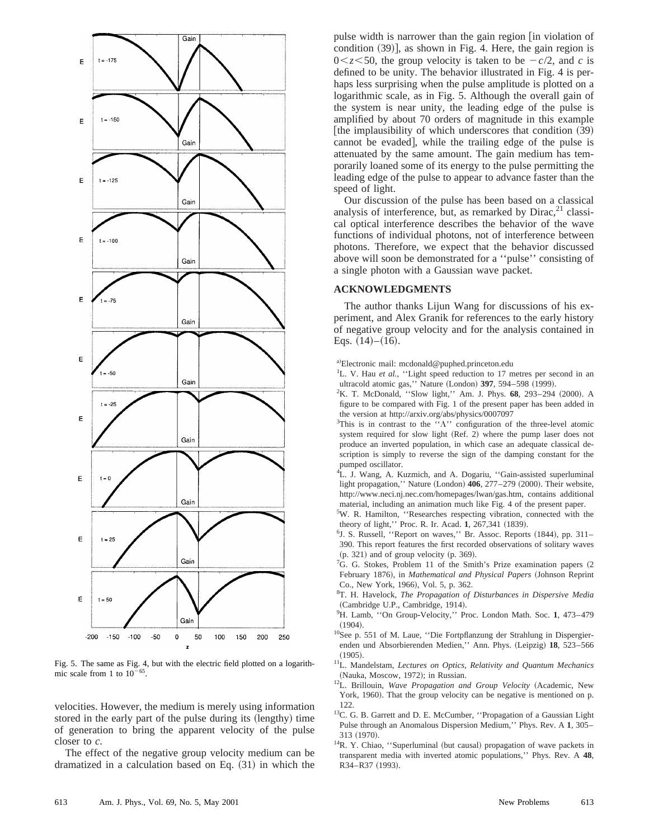

Fig. 5. The same as Fig. 4, but with the electric field plotted on a logarithmic scale from 1 to  $10^{-65}$ .

velocities. However, the medium is merely using information stored in the early part of the pulse during its (lengthy) time of generation to bring the apparent velocity of the pulse closer to *c*.

The effect of the negative group velocity medium can be dramatized in a calculation based on Eq.  $(31)$  in which the pulse width is narrower than the gain region  $\lceil$  in violation of condition  $(39)$ ], as shown in Fig. 4. Here, the gain region is  $0 \leq z \leq 50$ , the group velocity is taken to be  $-c/2$ , and *c* is defined to be unity. The behavior illustrated in Fig. 4 is perhaps less surprising when the pulse amplitude is plotted on a logarithmic scale, as in Fig. 5. Although the overall gain of the system is near unity, the leading edge of the pulse is amplified by about 70 orders of magnitude in this example [the implausibility of which underscores that condition  $(39)$ ] cannot be evaded, while the trailing edge of the pulse is attenuated by the same amount. The gain medium has temporarily loaned some of its energy to the pulse permitting the leading edge of the pulse to appear to advance faster than the speed of light.

Our discussion of the pulse has been based on a classical analysis of interference, but, as remarked by  $Dirac$ ,  $21$  classical optical interference describes the behavior of the wave functions of individual photons, not of interference between photons. Therefore, we expect that the behavior discussed above will soon be demonstrated for a ''pulse'' consisting of a single photon with a Gaussian wave packet.

### **ACKNOWLEDGMENTS**

The author thanks Lijun Wang for discussions of his experiment, and Alex Granik for references to the early history of negative group velocity and for the analysis contained in Eqs.  $(14)–(16)$ .

a)Electronic mail: mcdonald@puphed.princeton.edu

- <sup>1</sup>L. V. Hau et al., "Light speed reduction to 17 metres per second in an ultracold atomic gas," Nature (London) 397, 594–598 (1999).
- <sup>2</sup>K. T. McDonald, "Slow light," Am. J. Phys. 68, 293-294 (2000). A figure to be compared with Fig. 1 of the present paper has been added in the version at http://arxiv.org/abs/physics/0007097
- <sup>3</sup>This is in contrast to the " $\Lambda$ " configuration of the three-level atomic system required for slow light (Ref. 2) where the pump laser does not produce an inverted population, in which case an adequate classical description is simply to reverse the sign of the damping constant for the pumped oscillator.
- <sup>4</sup>L. J. Wang, A. Kuzmich, and A. Dogariu, "Gain-assisted superluminal light propagation," Nature (London) **406**, 277–279 (2000). Their website, http://www.neci.nj.nec.com/homepages/lwan/gas.htm, contains additional material, including an animation much like Fig. 4 of the present paper.
- <sup>5</sup>W. R. Hamilton, "Researches respecting vibration, connected with the theory of light," Proc. R. Ir. Acad. 1, 267,341 (1839).
- $6$ J. S. Russell, "Report on waves," Br. Assoc. Reports  $(1844)$ , pp. 311– 390. This report features the first recorded observations of solitary waves  $(p. 321)$  and of group velocity  $(p. 369)$ .
- <sup>7</sup>G. G. Stokes, Problem 11 of the Smith's Prize examination papers  $(2)$ February 1876), in *Mathematical and Physical Papers* (Johnson Reprint Co., New York, 1966), Vol. 5, p. 362.
- 8 T. H. Havelock, *The Propagation of Disturbances in Dispersive Media* (Cambridge U.P., Cambridge, 1914).
- 9 H. Lamb, ''On Group-Velocity,'' Proc. London Math. Soc. **1**, 473–479  $(1904).$
- 10See p. 551 of M. Laue, ''Die Fortpflanzung der Strahlung in Dispergierenden und Absorbierenden Medien," Ann. Phys. (Leipzig) 18, 523-566  $(1905).$
- 11L. Mandelstam, *Lectures on Optics, Relativity and Quantum Mechanics* (Nauka, Moscow, 1972); in Russian.
- <sup>12</sup>L. Brillouin, *Wave Propagation and Group Velocity* (Academic, New York, 1960). That the group velocity can be negative is mentioned on p. 122.
- <sup>13</sup>C. G. B. Garrett and D. E. McCumber, "Propagation of a Gaussian Light Pulse through an Anomalous Dispersion Medium,'' Phys. Rev. A **1**, 305– 313 (1970).
- $14R$ . Y. Chiao, "Superluminal (but causal) propagation of wave packets in transparent media with inverted atomic populations,'' Phys. Rev. A **48**, R34-R37 (1993).